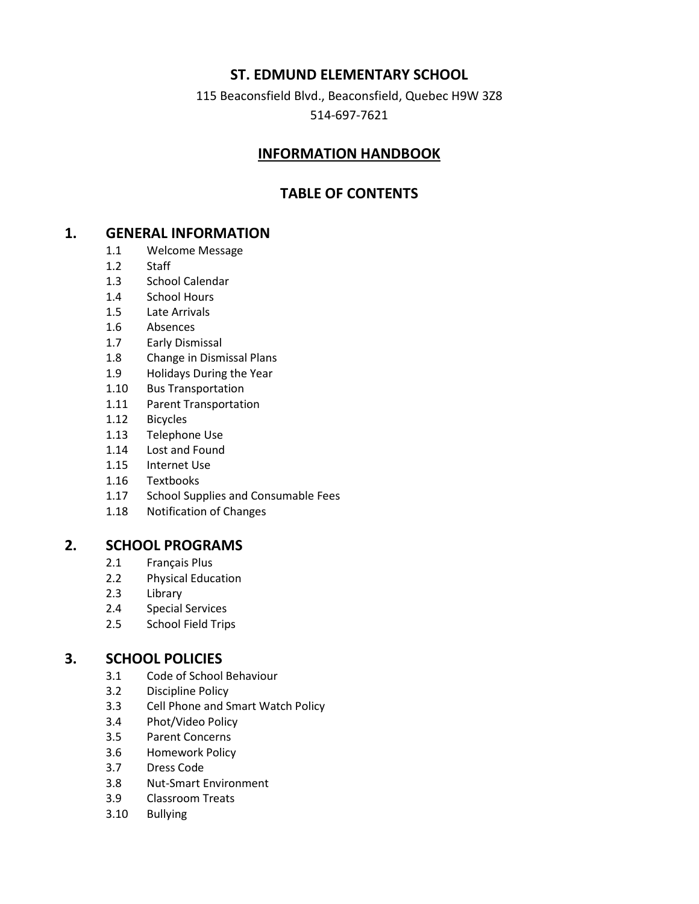### **ST. EDMUND ELEMENTARY SCHOOL**

115 Beaconsfield Blvd., Beaconsfield, Quebec H9W 3Z8

514-697-7621

### **INFORMATION HANDBOOK**

## **TABLE OF CONTENTS**

### **1. GENERAL INFORMATION**

- 1.1 Welcome Message
- 1.2 Staff
- 1.3 School Calendar
- 1.4 School Hours
- 1.5 Late Arrivals
- 1.6 Absences
- 1.7 Early Dismissal
- 1.8 Change in Dismissal Plans
- 1.9 Holidays During the Year
- 1.10 Bus Transportation
- 1.11 Parent Transportation
- 1.12 Bicycles
- 1.13 Telephone Use
- 1.14 Lost and Found
- 1.15 Internet Use
- 1.16 Textbooks
- 1.17 School Supplies and Consumable Fees
- 1.18 Notification of Changes

#### **2. SCHOOL PROGRAMS**

- 2.1 Français Plus
- 2.2 Physical Education
- 2.3 Library
- 2.4 Special Services
- 2.5 School Field Trips

### **3. SCHOOL POLICIES**

- 3.1 Code of School Behaviour
- 3.2 Discipline Policy
- 3.3 Cell Phone and Smart Watch Policy
- 3.4 Phot/Video Policy
- 3.5 Parent Concerns
- 3.6 Homework Policy
- 3.7 Dress Code
- 3.8 Nut-Smart Environment
- 3.9 Classroom Treats
- 3.10 Bullying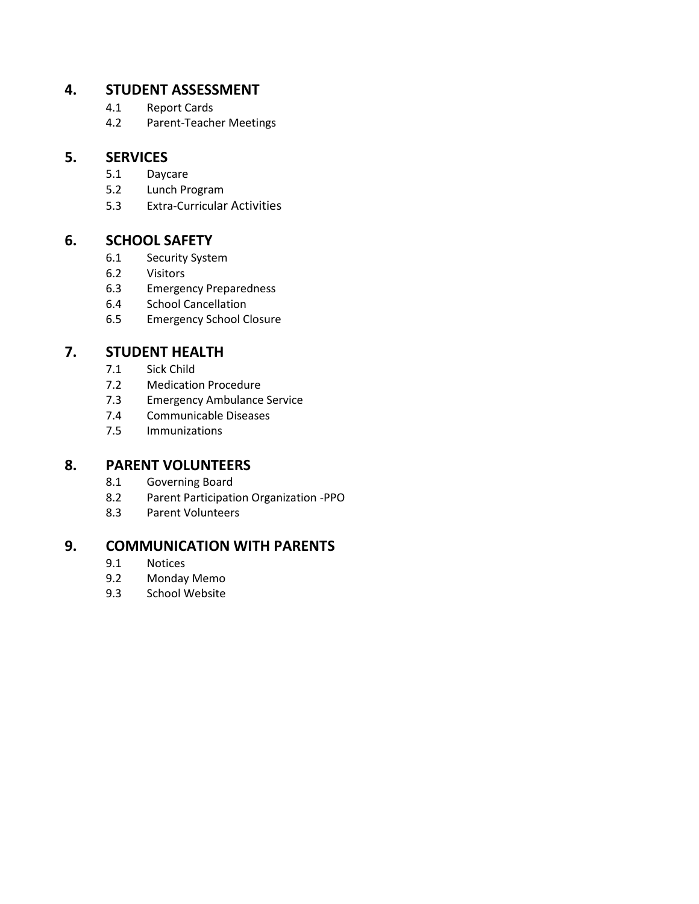### **4. STUDENT ASSESSMENT**

- 4.1 Report Cards
- 4.2 Parent-Teacher Meetings

### **5. SERVICES**

- 5.1 Daycare
- 5.2 Lunch Program
- 5.3 Extra-Curricular Activities

## **6. SCHOOL SAFETY**

- 6.1 Security System
- 6.2 Visitors
- 6.3 Emergency Preparedness
- 6.4 School Cancellation
- 6.5 Emergency School Closure

### **7. STUDENT HEALTH**

- 7.1 Sick Child
- 7.2 Medication Procedure
- 7.3 Emergency Ambulance Service
- 7.4 Communicable Diseases
- 7.5 Immunizations

### **8. PARENT VOLUNTEERS**

- 8.1 Governing Board
- 8.2 Parent Participation Organization -PPO
- 8.3 Parent Volunteers

### **9. COMMUNICATION WITH PARENTS**

- 9.1 Notices<br>9.2 Monday
- Monday Memo
- 9.3 School Website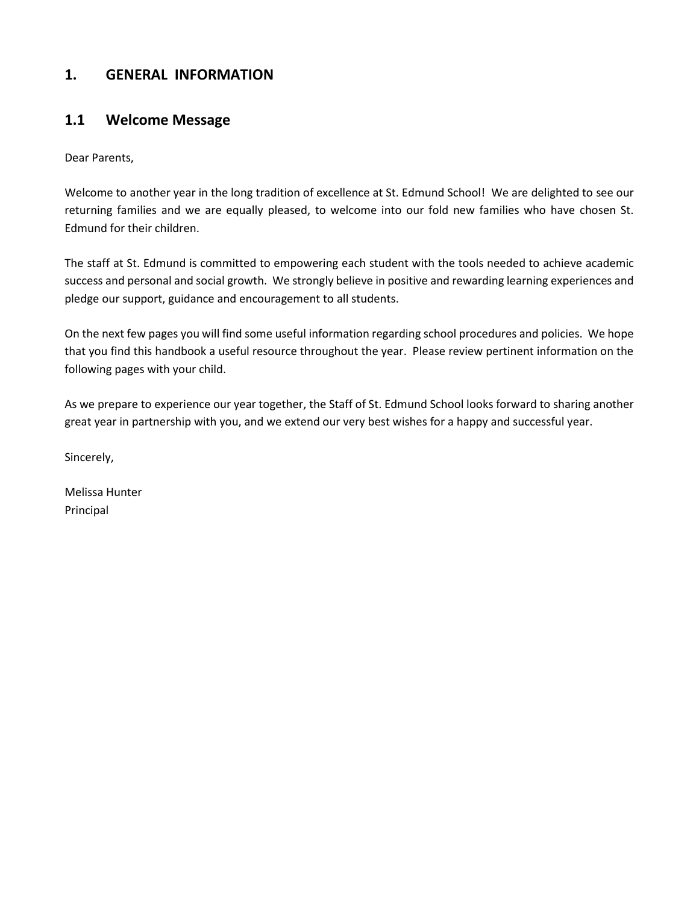## **1. GENERAL INFORMATION**

### **1.1 Welcome Message**

Dear Parents,

Welcome to another year in the long tradition of excellence at St. Edmund School! We are delighted to see our returning families and we are equally pleased, to welcome into our fold new families who have chosen St. Edmund for their children.

The staff at St. Edmund is committed to empowering each student with the tools needed to achieve academic success and personal and social growth. We strongly believe in positive and rewarding learning experiences and pledge our support, guidance and encouragement to all students.

On the next few pages you will find some useful information regarding school procedures and policies. We hope that you find this handbook a useful resource throughout the year. Please review pertinent information on the following pages with your child.

As we prepare to experience our year together, the Staff of St. Edmund School looks forward to sharing another great year in partnership with you, and we extend our very best wishes for a happy and successful year.

Sincerely,

Melissa Hunter Principal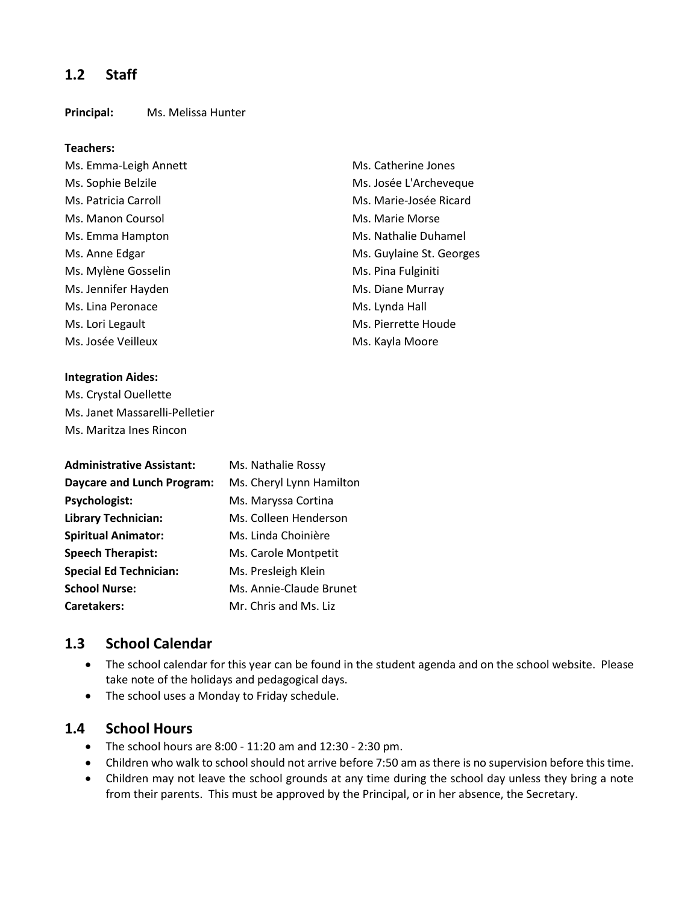### **1.2 Staff**

#### **Principal:** Ms. Melissa Hunter

#### **Teachers:**

- Ms. Emma-Leigh Annett Ms. Catherine Jones Ms. Manon Coursol Ms. Marie Morse Ms. Emma Hampton Ms. Nathalie Duhamel Ms. Mylène Gosselin Ms. Pina Fulginiti Ms. Jennifer Hayden Ms. Diane Murray Ms. Lina Peronace Ms. Lynda Hall Ms. Lori Legault **Ms.** Pierrette Houde Ms. Josée Veilleux **Ms. Josée Veilleux** Ms. Kayla Moore
- Ms. Sophie Belzile Ms. Josée L'Archeveque Ms. Patricia Carroll **Ms. Patricia Carroll** Ms. Marie-Josée Ricard Ms. Anne Edgar Ms. Guylaine St. Georges

#### **Integration Aides:**

Ms. Crystal Ouellette Ms. Janet Massarelli-Pelletier Ms. Maritza Ines Rincon

| <b>Administrative Assistant:</b>  | Ms. Nathalie Rossy       |
|-----------------------------------|--------------------------|
| <b>Daycare and Lunch Program:</b> | Ms. Cheryl Lynn Hamilton |
| Psychologist:                     | Ms. Maryssa Cortina      |
| <b>Library Technician:</b>        | Ms. Colleen Henderson    |
| <b>Spiritual Animator:</b>        | Ms. Linda Choinière      |
| <b>Speech Therapist:</b>          | Ms. Carole Montpetit     |
| <b>Special Ed Technician:</b>     | Ms. Presleigh Klein      |
| <b>School Nurse:</b>              | Ms. Annie-Claude Brunet  |
| <b>Caretakers:</b>                | Mr. Chris and Ms. Liz    |

### **1.3 School Calendar**

- The school calendar for this year can be found in the student agenda and on the school website. Please take note of the holidays and pedagogical days.
- The school uses a Monday to Friday schedule.

### **1.4 School Hours**

- The school hours are  $8:00 11:20$  am and  $12:30 2:30$  pm.
- Children who walk to school should not arrive before 7:50 am as there is no supervision before this time.
- Children may not leave the school grounds at any time during the school day unless they bring a note from their parents. This must be approved by the Principal, or in her absence, the Secretary.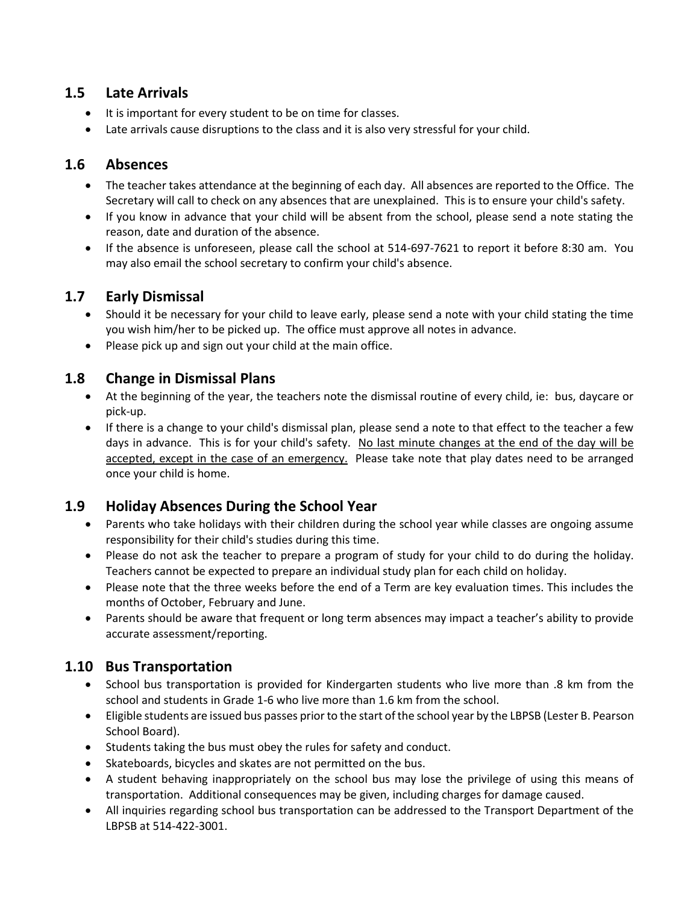### **1.5 Late Arrivals**

- It is important for every student to be on time for classes.
- Late arrivals cause disruptions to the class and it is also very stressful for your child.

# **1.6 Absences**

- The teacher takes attendance at the beginning of each day. All absences are reported to the Office. The Secretary will call to check on any absences that are unexplained. This is to ensure your child's safety.
- If you know in advance that your child will be absent from the school, please send a note stating the reason, date and duration of the absence.
- If the absence is unforeseen, please call the school at 514-697-7621 to report it before 8:30 am. You may also email the school secretary to confirm your child's absence.

# **1.7 Early Dismissal**

- Should it be necessary for your child to leave early, please send a note with your child stating the time you wish him/her to be picked up. The office must approve all notes in advance.
- Please pick up and sign out your child at the main office.

# **1.8 Change in Dismissal Plans**

- At the beginning of the year, the teachers note the dismissal routine of every child, ie: bus, daycare or pick-up.
- If there is a change to your child's dismissal plan, please send a note to that effect to the teacher a few days in advance. This is for your child's safety. No last minute changes at the end of the day will be accepted, except in the case of an emergency. Please take note that play dates need to be arranged once your child is home.

# **1.9 Holiday Absences During the School Year**

- Parents who take holidays with their children during the school year while classes are ongoing assume responsibility for their child's studies during this time.
- Please do not ask the teacher to prepare a program of study for your child to do during the holiday. Teachers cannot be expected to prepare an individual study plan for each child on holiday.
- Please note that the three weeks before the end of a Term are key evaluation times. This includes the months of October, February and June.
- Parents should be aware that frequent or long term absences may impact a teacher's ability to provide accurate assessment/reporting.

# **1.10 Bus Transportation**

- School bus transportation is provided for Kindergarten students who live more than .8 km from the school and students in Grade 1-6 who live more than 1.6 km from the school.
- Eligible students are issued bus passes prior to the start of the school year by the LBPSB (Lester B. Pearson School Board).
- Students taking the bus must obey the rules for safety and conduct.
- Skateboards, bicycles and skates are not permitted on the bus.
- A student behaving inappropriately on the school bus may lose the privilege of using this means of transportation. Additional consequences may be given, including charges for damage caused.
- All inquiries regarding school bus transportation can be addressed to the Transport Department of the LBPSB at 514-422-3001.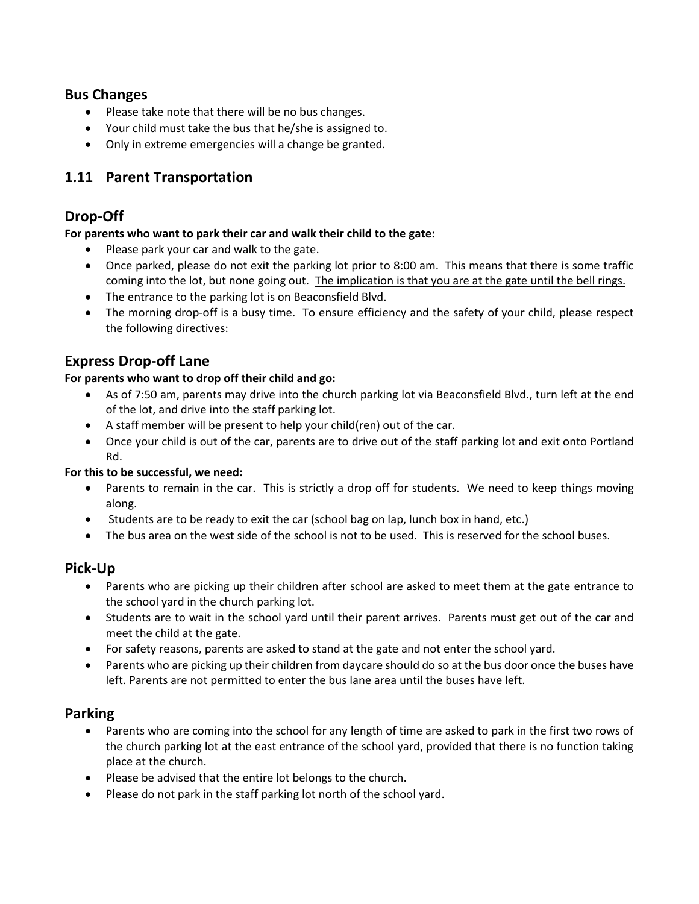### **Bus Changes**

- Please take note that there will be no bus changes.
- Your child must take the bus that he/she is assigned to.
- Only in extreme emergencies will a change be granted.

# **1.11 Parent Transportation**

### **Drop-Off**

#### **For parents who want to park their car and walk their child to the gate:**

- Please park your car and walk to the gate.
- Once parked, please do not exit the parking lot prior to 8:00 am. This means that there is some traffic coming into the lot, but none going out. The implication is that you are at the gate until the bell rings.
- The entrance to the parking lot is on Beaconsfield Blvd.
- The morning drop-off is a busy time. To ensure efficiency and the safety of your child, please respect the following directives:

## **Express Drop-off Lane**

#### **For parents who want to drop off their child and go:**

- As of 7:50 am, parents may drive into the church parking lot via Beaconsfield Blvd., turn left at the end of the lot, and drive into the staff parking lot.
- A staff member will be present to help your child(ren) out of the car.
- Once your child is out of the car, parents are to drive out of the staff parking lot and exit onto Portland Rd.

#### **For this to be successful, we need:**

- Parents to remain in the car. This is strictly a drop off for students. We need to keep things moving along.
- Students are to be ready to exit the car (school bag on lap, lunch box in hand, etc.)
- The bus area on the west side of the school is not to be used. This is reserved for the school buses.

### **Pick-Up**

- Parents who are picking up their children after school are asked to meet them at the gate entrance to the school yard in the church parking lot.
- Students are to wait in the school yard until their parent arrives. Parents must get out of the car and meet the child at the gate.
- For safety reasons, parents are asked to stand at the gate and not enter the school yard.
- Parents who are picking up their children from daycare should do so at the bus door once the buses have left. Parents are not permitted to enter the bus lane area until the buses have left.

### **Parking**

- Parents who are coming into the school for any length of time are asked to park in the first two rows of the church parking lot at the east entrance of the school yard, provided that there is no function taking place at the church.
- Please be advised that the entire lot belongs to the church.
- Please do not park in the staff parking lot north of the school yard.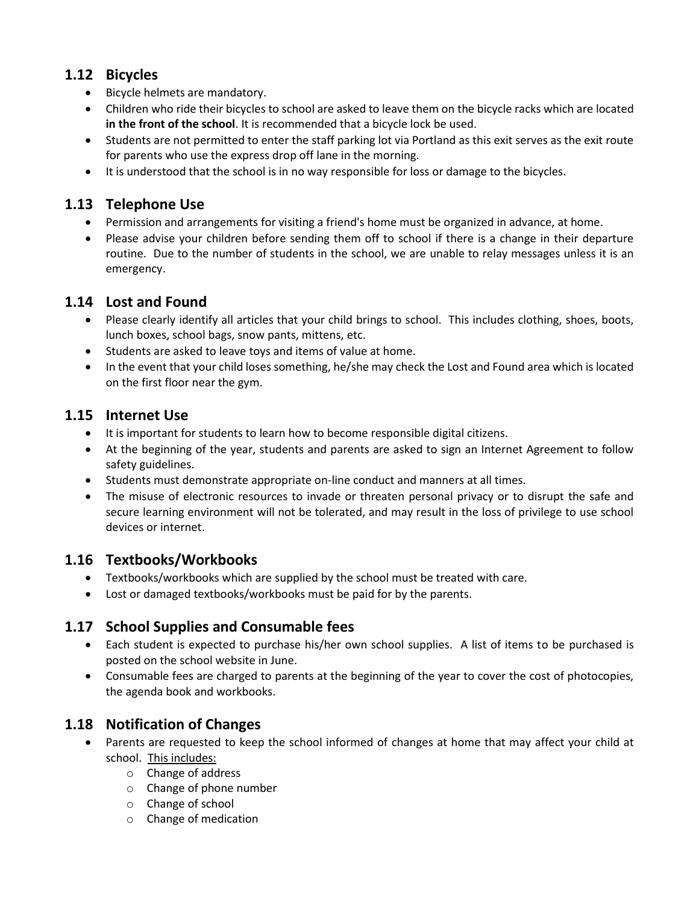# **1.12 Bicycles**

- Bicycle helmets are mandatory.
- Children who ride their bicycles to school are asked to leave them on the bicycle racks which are located **in the front of the school**. It is recommended that a bicycle lock be used.
- Students are not permitted to enter the staff parking lot via Portland as this exit serves as the exit route for parents who use the express drop off lane in the morning.
- It is understood that the school is in no way responsible for loss or damage to the bicycles.

# **1.13 Telephone Use**

- Permission and arrangements for visiting a friend's home must be organized in advance, at home.
- Please advise your children before sending them off to school if there is a change in their departure routine. Due to the number of students in the school, we are unable to relay messages unless it is an emergency.

## **1.14 Lost and Found**

- Please clearly identify all articles that your child brings to school. This includes clothing, shoes, boots, lunch boxes, school bags, snow pants, mittens, etc.
- Students are asked to leave toys and items of value at home.
- In the event that your child loses something, he/she may check the Lost and Found area which is located on the first floor near the gym.

# **1.15 Internet Use**

- It is important for students to learn how to become responsible digital citizens.
- At the beginning of the year, students and parents are asked to sign an Internet Agreement to follow safety guidelines.
- Students must demonstrate appropriate on-line conduct and manners at all times.
- The misuse of electronic resources to invade or threaten personal privacy or to disrupt the safe and secure learning environment will not be tolerated, and may result in the loss of privilege to use school devices or internet.

# **1.16 Textbooks/Workbooks**

- Textbooks/workbooks which are supplied by the school must be treated with care.
- Lost or damaged textbooks/workbooks must be paid for by the parents.

# **1.17 School Supplies and Consumable fees**

- Each student is expected to purchase his/her own school supplies. A list of items to be purchased is posted on the school website in June.
- Consumable fees are charged to parents at the beginning of the year to cover the cost of photocopies, the agenda book and workbooks.

# **1.18 Notification of Changes**

- Parents are requested to keep the school informed of changes at home that may affect your child at school. This includes:
	- o Change of address
	- o Change of phone number
	- o Change of school
	- o Change of medication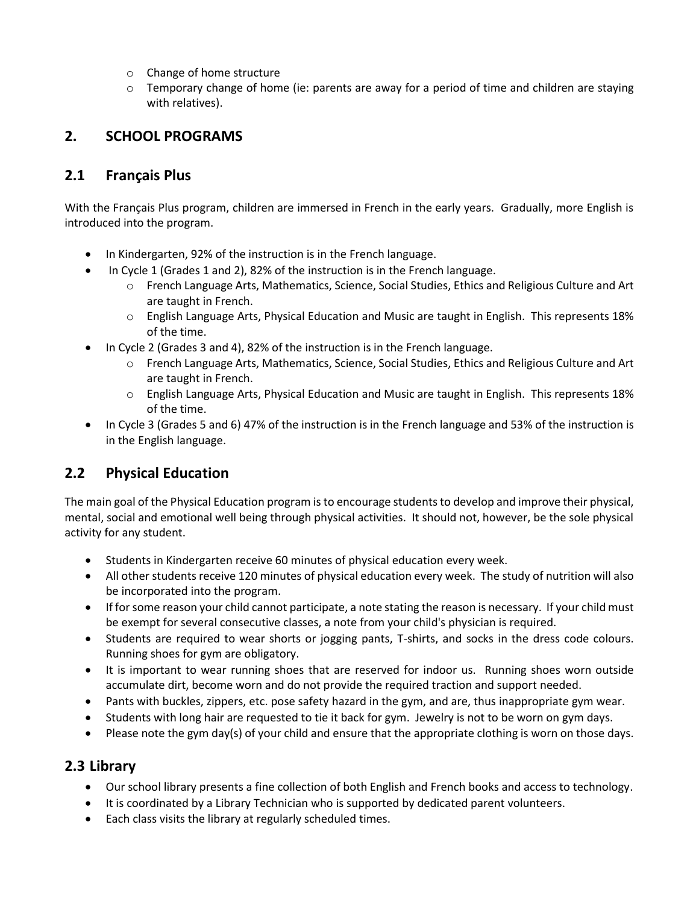- o Change of home structure
- $\circ$  Temporary change of home (ie: parents are away for a period of time and children are staying with relatives).

# **2. SCHOOL PROGRAMS**

### **2.1 Français Plus**

With the Français Plus program, children are immersed in French in the early years. Gradually, more English is introduced into the program.

- In Kindergarten, 92% of the instruction is in the French language.
- In Cycle 1 (Grades 1 and 2), 82% of the instruction is in the French language.
	- o French Language Arts, Mathematics, Science, Social Studies, Ethics and Religious Culture and Art are taught in French.
	- $\circ$  English Language Arts, Physical Education and Music are taught in English. This represents 18% of the time.
- In Cycle 2 (Grades 3 and 4), 82% of the instruction is in the French language.
	- o French Language Arts, Mathematics, Science, Social Studies, Ethics and Religious Culture and Art are taught in French.
	- o English Language Arts, Physical Education and Music are taught in English. This represents 18% of the time.
- In Cycle 3 (Grades 5 and 6) 47% of the instruction is in the French language and 53% of the instruction is in the English language.

# **2.2 Physical Education**

The main goal of the Physical Education program is to encourage students to develop and improve their physical, mental, social and emotional well being through physical activities. It should not, however, be the sole physical activity for any student.

- Students in Kindergarten receive 60 minutes of physical education every week.
- All other students receive 120 minutes of physical education every week. The study of nutrition will also be incorporated into the program.
- If for some reason your child cannot participate, a note stating the reason is necessary. If your child must be exempt for several consecutive classes, a note from your child's physician is required.
- Students are required to wear shorts or jogging pants, T-shirts, and socks in the dress code colours. Running shoes for gym are obligatory.
- It is important to wear running shoes that are reserved for indoor us. Running shoes worn outside accumulate dirt, become worn and do not provide the required traction and support needed.
- Pants with buckles, zippers, etc. pose safety hazard in the gym, and are, thus inappropriate gym wear.
- Students with long hair are requested to tie it back for gym. Jewelry is not to be worn on gym days.
- Please note the gym day(s) of your child and ensure that the appropriate clothing is worn on those days.

### **2.3 Library**

- Our school library presents a fine collection of both English and French books and access to technology.
- It is coordinated by a Library Technician who is supported by dedicated parent volunteers.
- Each class visits the library at regularly scheduled times.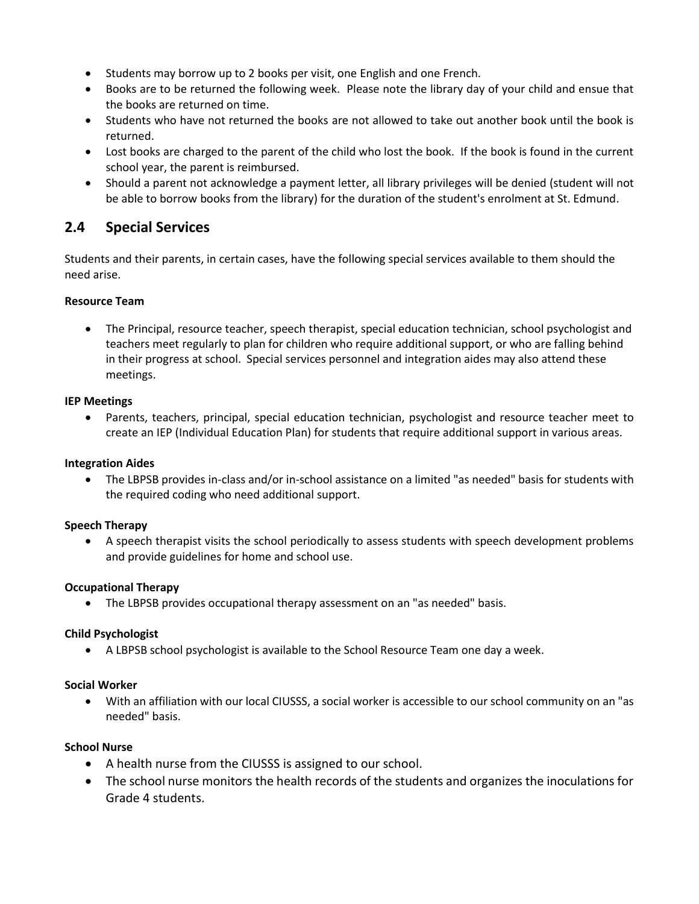- Students may borrow up to 2 books per visit, one English and one French.
- Books are to be returned the following week. Please note the library day of your child and ensue that the books are returned on time.
- Students who have not returned the books are not allowed to take out another book until the book is returned.
- Lost books are charged to the parent of the child who lost the book. If the book is found in the current school year, the parent is reimbursed.
- Should a parent not acknowledge a payment letter, all library privileges will be denied (student will not be able to borrow books from the library) for the duration of the student's enrolment at St. Edmund.

### **2.4 Special Services**

Students and their parents, in certain cases, have the following special services available to them should the need arise.

#### **Resource Team**

• The Principal, resource teacher, speech therapist, special education technician, school psychologist and teachers meet regularly to plan for children who require additional support, or who are falling behind in their progress at school. Special services personnel and integration aides may also attend these meetings.

#### **IEP Meetings**

• Parents, teachers, principal, special education technician, psychologist and resource teacher meet to create an IEP (Individual Education Plan) for students that require additional support in various areas.

#### **Integration Aides**

• The LBPSB provides in-class and/or in-school assistance on a limited "as needed" basis for students with the required coding who need additional support.

#### **Speech Therapy**

• A speech therapist visits the school periodically to assess students with speech development problems and provide guidelines for home and school use.

#### **Occupational Therapy**

• The LBPSB provides occupational therapy assessment on an "as needed" basis.

#### **Child Psychologist**

• A LBPSB school psychologist is available to the School Resource Team one day a week.

#### **Social Worker**

• With an affiliation with our local CIUSSS, a social worker is accessible to our school community on an "as needed" basis.

#### **School Nurse**

- A health nurse from the CIUSSS is assigned to our school.
- The school nurse monitors the health records of the students and organizes the inoculations for Grade 4 students.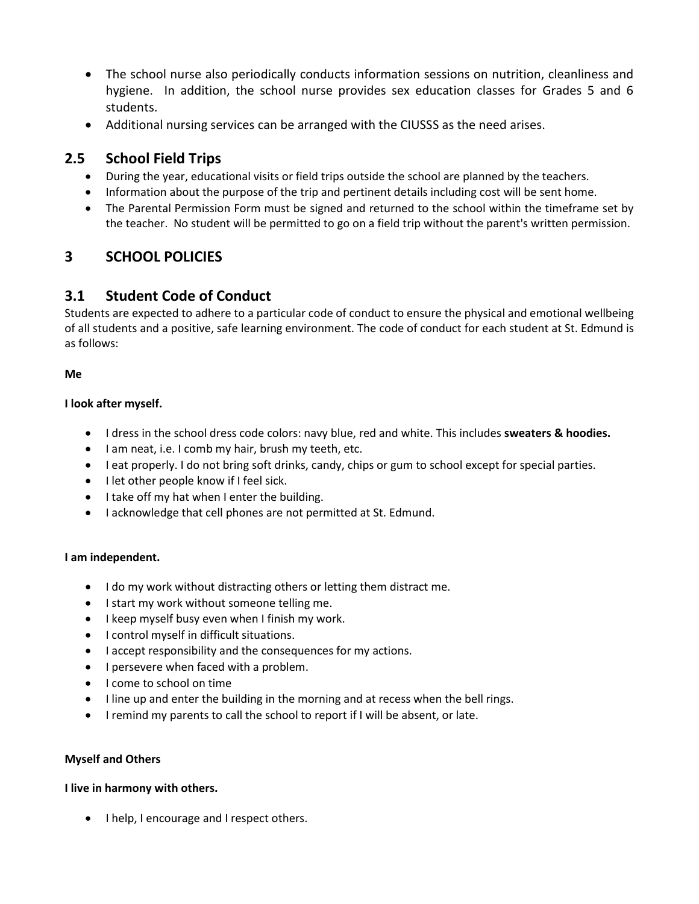- The school nurse also periodically conducts information sessions on nutrition, cleanliness and hygiene. In addition, the school nurse provides sex education classes for Grades 5 and 6 students.
- Additional nursing services can be arranged with the CIUSSS as the need arises.

# **2.5 School Field Trips**

- During the year, educational visits or field trips outside the school are planned by the teachers.
- Information about the purpose of the trip and pertinent details including cost will be sent home.
- The Parental Permission Form must be signed and returned to the school within the timeframe set by the teacher. No student will be permitted to go on a field trip without the parent's written permission.

# **3 SCHOOL POLICIES**

### **3.1 Student Code of Conduct**

Students are expected to adhere to a particular code of conduct to ensure the physical and emotional wellbeing of all students and a positive, safe learning environment. The code of conduct for each student at St. Edmund is as follows:

#### **Me**

#### **I look after myself.**

- I dress in the school dress code colors: navy blue, red and white. This includes **sweaters & hoodies.**
- I am neat, i.e. I comb my hair, brush my teeth, etc.
- I eat properly. I do not bring soft drinks, candy, chips or gum to school except for special parties.
- I let other people know if I feel sick.
- I take off my hat when I enter the building.
- I acknowledge that cell phones are not permitted at St. Edmund.

#### **I am independent.**

- I do my work without distracting others or letting them distract me.
- I start my work without someone telling me.
- I keep myself busy even when I finish my work.
- I control myself in difficult situations.
- I accept responsibility and the consequences for my actions.
- I persevere when faced with a problem.
- I come to school on time
- I line up and enter the building in the morning and at recess when the bell rings.
- I remind my parents to call the school to report if I will be absent, or late.

#### **Myself and Others**

#### **I live in harmony with others.**

• I help, I encourage and I respect others.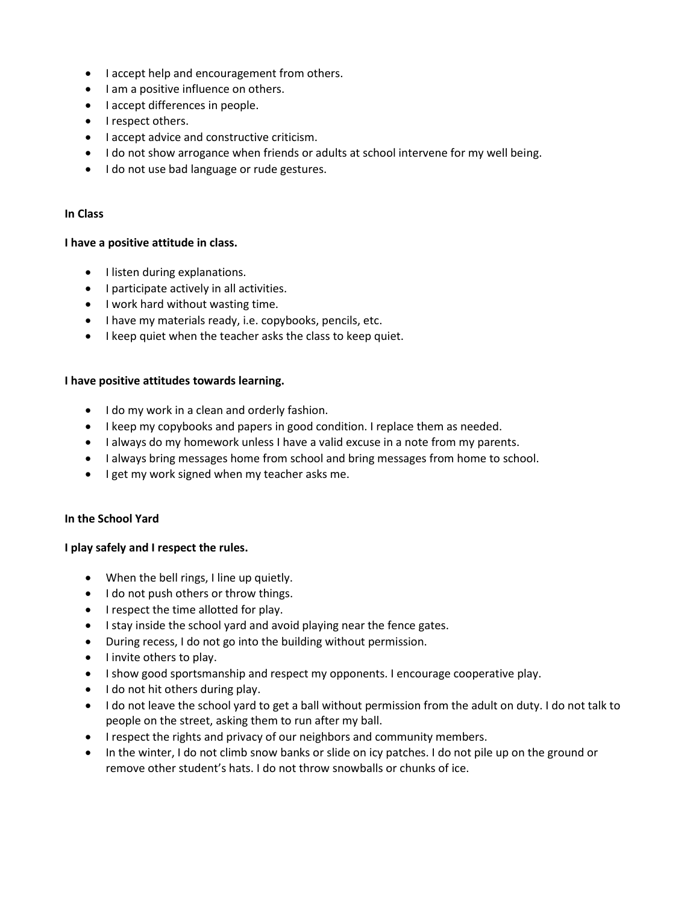- I accept help and encouragement from others.
- I am a positive influence on others.
- I accept differences in people.
- I respect others.
- I accept advice and constructive criticism.
- I do not show arrogance when friends or adults at school intervene for my well being.
- I do not use bad language or rude gestures.

#### **In Class**

#### **I have a positive attitude in class.**

- I listen during explanations.
- I participate actively in all activities.
- I work hard without wasting time.
- I have my materials ready, i.e. copybooks, pencils, etc.
- I keep quiet when the teacher asks the class to keep quiet.

#### **I have positive attitudes towards learning.**

- I do my work in a clean and orderly fashion.
- I keep my copybooks and papers in good condition. I replace them as needed.
- I always do my homework unless I have a valid excuse in a note from my parents.
- I always bring messages home from school and bring messages from home to school.
- I get my work signed when my teacher asks me.

#### **In the School Yard**

#### **I play safely and I respect the rules.**

- When the bell rings, I line up quietly.
- I do not push others or throw things.
- I respect the time allotted for play.
- I stay inside the school yard and avoid playing near the fence gates.
- During recess, I do not go into the building without permission.
- I invite others to play.
- I show good sportsmanship and respect my opponents. I encourage cooperative play.
- I do not hit others during play.
- I do not leave the school yard to get a ball without permission from the adult on duty. I do not talk to people on the street, asking them to run after my ball.
- I respect the rights and privacy of our neighbors and community members.
- In the winter, I do not climb snow banks or slide on icy patches. I do not pile up on the ground or remove other student's hats. I do not throw snowballs or chunks of ice.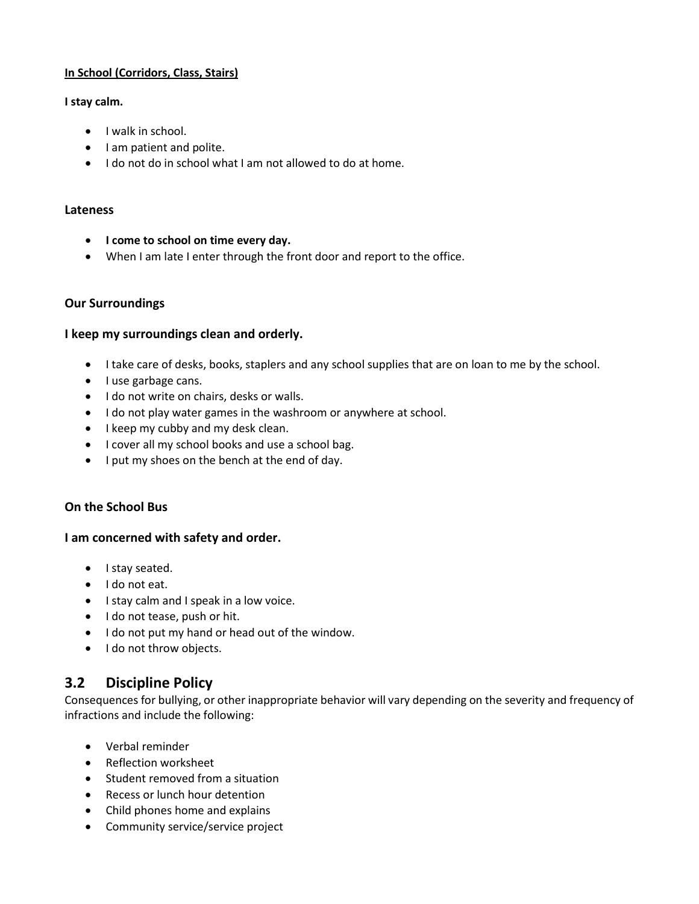#### **In School (Corridors, Class, Stairs)**

#### **I stay calm.**

- I walk in school.
- I am patient and polite.
- I do not do in school what I am not allowed to do at home.

#### **Lateness**

- **I come to school on time every day.**
- When I am late I enter through the front door and report to the office.

#### **Our Surroundings**

#### **I keep my surroundings clean and orderly.**

- I take care of desks, books, staplers and any school supplies that are on loan to me by the school.
- I use garbage cans.
- I do not write on chairs, desks or walls.
- I do not play water games in the washroom or anywhere at school.
- I keep my cubby and my desk clean.
- I cover all my school books and use a school bag.
- I put my shoes on the bench at the end of day.

#### **On the School Bus**

#### **I am concerned with safety and order.**

- I stay seated.
- I do not eat.
- I stay calm and I speak in a low voice.
- I do not tease, push or hit.
- I do not put my hand or head out of the window.
- I do not throw objects.

### **3.2 Discipline Policy**

Consequences for bullying, or other inappropriate behavior will vary depending on the severity and frequency of infractions and include the following:

- Verbal reminder
- Reflection worksheet
- Student removed from a situation
- Recess or lunch hour detention
- Child phones home and explains
- Community service/service project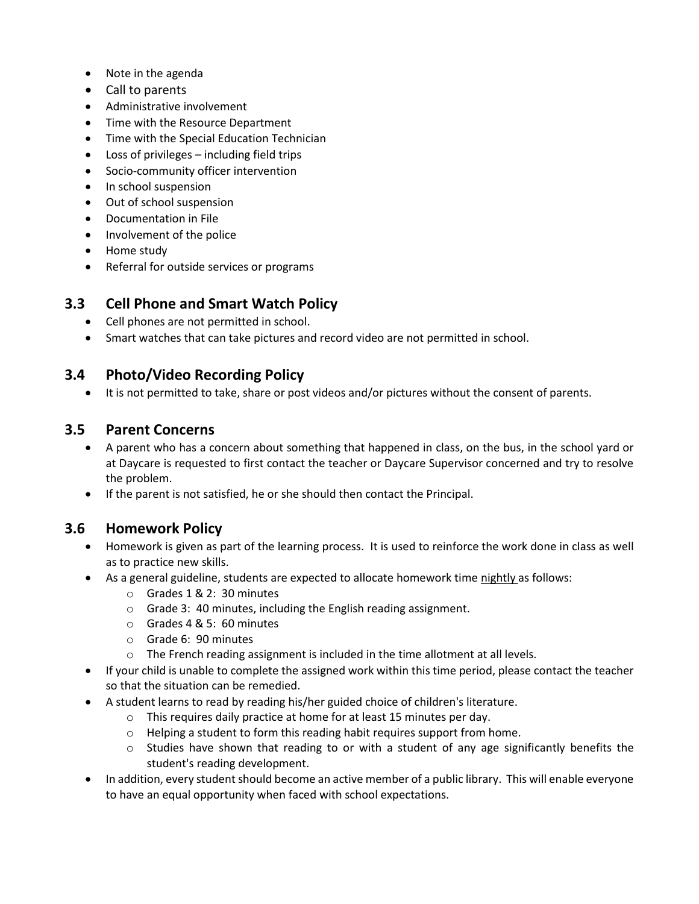- Note in the agenda
- Call to parents
- Administrative involvement
- Time with the Resource Department
- Time with the Special Education Technician
- Loss of privileges including field trips
- Socio-community officer intervention
- In school suspension
- Out of school suspension
- Documentation in File
- Involvement of the police
- Home study
- Referral for outside services or programs

## **3.3 Cell Phone and Smart Watch Policy**

- Cell phones are not permitted in school.
- Smart watches that can take pictures and record video are not permitted in school.

### **3.4 Photo/Video Recording Policy**

• It is not permitted to take, share or post videos and/or pictures without the consent of parents.

### **3.5 Parent Concerns**

- A parent who has a concern about something that happened in class, on the bus, in the school yard or at Daycare is requested to first contact the teacher or Daycare Supervisor concerned and try to resolve the problem.
- If the parent is not satisfied, he or she should then contact the Principal.

### **3.6 Homework Policy**

- Homework is given as part of the learning process. It is used to reinforce the work done in class as well as to practice new skills.
- As a general guideline, students are expected to allocate homework time nightly as follows:
	- o Grades 1 & 2: 30 minutes
	- o Grade 3: 40 minutes, including the English reading assignment.
	- o Grades 4 & 5: 60 minutes
	- o Grade 6: 90 minutes
	- $\circ$  The French reading assignment is included in the time allotment at all levels.
- If your child is unable to complete the assigned work within this time period, please contact the teacher so that the situation can be remedied.
- A student learns to read by reading his/her guided choice of children's literature.
	- o This requires daily practice at home for at least 15 minutes per day.
	- o Helping a student to form this reading habit requires support from home.
	- $\circ$  Studies have shown that reading to or with a student of any age significantly benefits the student's reading development.
- In addition, every student should become an active member of a public library. This will enable everyone to have an equal opportunity when faced with school expectations.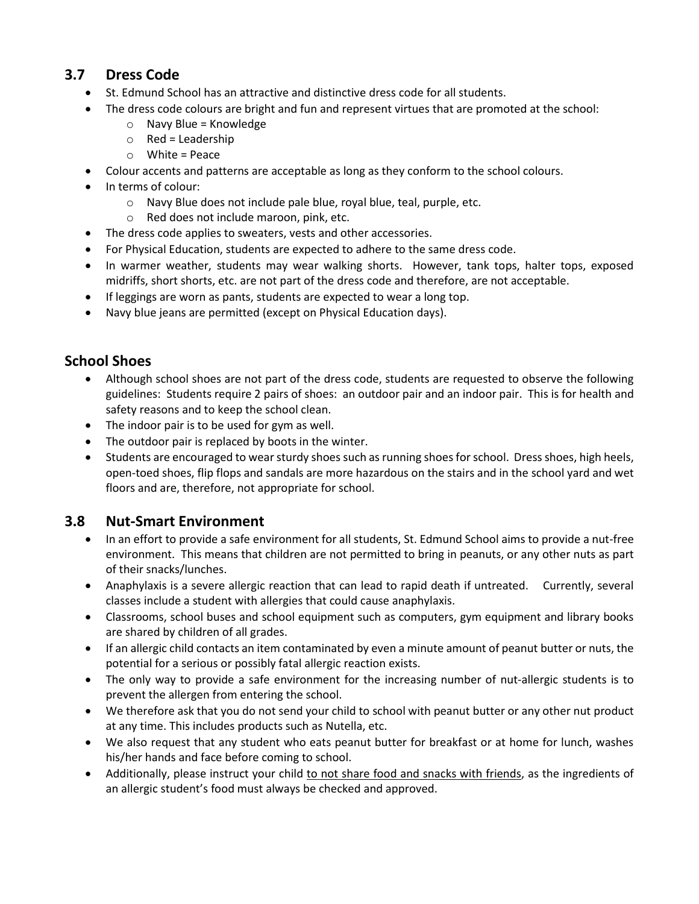## **3.7 Dress Code**

- St. Edmund School has an attractive and distinctive dress code for all students.
- The dress code colours are bright and fun and represent virtues that are promoted at the school:
	- o Navy Blue = Knowledge
		- $\circ$  Red = Leadership
		- $\circ$  White = Peace
- Colour accents and patterns are acceptable as long as they conform to the school colours.
- In terms of colour:
	- o Navy Blue does not include pale blue, royal blue, teal, purple, etc.
	- o Red does not include maroon, pink, etc.
- The dress code applies to sweaters, vests and other accessories.
- For Physical Education, students are expected to adhere to the same dress code.
- In warmer weather, students may wear walking shorts. However, tank tops, halter tops, exposed midriffs, short shorts, etc. are not part of the dress code and therefore, are not acceptable.
- If leggings are worn as pants, students are expected to wear a long top.
- Navy blue jeans are permitted (except on Physical Education days).

### **School Shoes**

- Although school shoes are not part of the dress code, students are requested to observe the following guidelines: Students require 2 pairs of shoes: an outdoor pair and an indoor pair. This is for health and safety reasons and to keep the school clean.
- The indoor pair is to be used for gym as well.
- The outdoor pair is replaced by boots in the winter.
- Students are encouraged to wear sturdy shoes such as running shoes for school. Dress shoes, high heels, open-toed shoes, flip flops and sandals are more hazardous on the stairs and in the school yard and wet floors and are, therefore, not appropriate for school.

# **3.8 Nut-Smart Environment**

- In an effort to provide a safe environment for all students, St. Edmund School aims to provide a nut-free environment. This means that children are not permitted to bring in peanuts, or any other nuts as part of their snacks/lunches.
- Anaphylaxis is a severe allergic reaction that can lead to rapid death if untreated. Currently, several classes include a student with allergies that could cause anaphylaxis.
- Classrooms, school buses and school equipment such as computers, gym equipment and library books are shared by children of all grades.
- If an allergic child contacts an item contaminated by even a minute amount of peanut butter or nuts, the potential for a serious or possibly fatal allergic reaction exists.
- The only way to provide a safe environment for the increasing number of nut-allergic students is to prevent the allergen from entering the school.
- We therefore ask that you do not send your child to school with peanut butter or any other nut product at any time. This includes products such as Nutella, etc.
- We also request that any student who eats peanut butter for breakfast or at home for lunch, washes his/her hands and face before coming to school.
- Additionally, please instruct your child to not share food and snacks with friends, as the ingredients of an allergic student's food must always be checked and approved.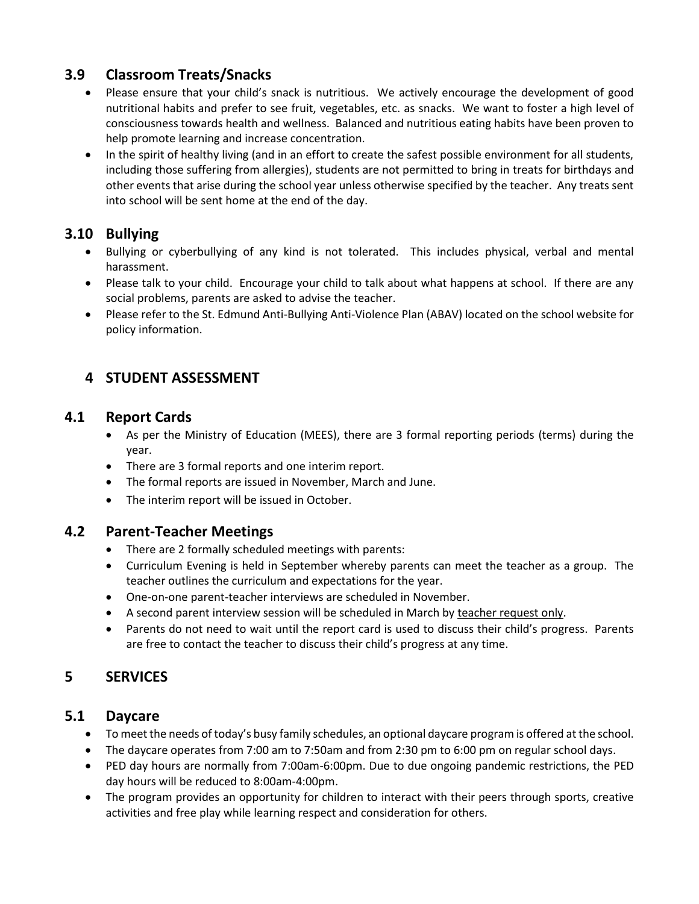# **3.9 Classroom Treats/Snacks**

- Please ensure that your child's snack is nutritious. We actively encourage the development of good nutritional habits and prefer to see fruit, vegetables, etc. as snacks. We want to foster a high level of consciousness towards health and wellness. Balanced and nutritious eating habits have been proven to help promote learning and increase concentration.
- In the spirit of healthy living (and in an effort to create the safest possible environment for all students, including those suffering from allergies), students are not permitted to bring in treats for birthdays and other events that arise during the school year unless otherwise specified by the teacher. Any treats sent into school will be sent home at the end of the day.

# **3.10 Bullying**

- Bullying or cyberbullying of any kind is not tolerated. This includes physical, verbal and mental harassment.
- Please talk to your child. Encourage your child to talk about what happens at school. If there are any social problems, parents are asked to advise the teacher.
- Please refer to the St. Edmund Anti-Bullying Anti-Violence Plan (ABAV) located on the school website for policy information.

# **4 STUDENT ASSESSMENT**

### **4.1 Report Cards**

- As per the Ministry of Education (MEES), there are 3 formal reporting periods (terms) during the year.
- There are 3 formal reports and one interim report.
- The formal reports are issued in November, March and June.
- The interim report will be issued in October.

### **4.2 Parent-Teacher Meetings**

- There are 2 formally scheduled meetings with parents:
- Curriculum Evening is held in September whereby parents can meet the teacher as a group. The teacher outlines the curriculum and expectations for the year.
- One-on-one parent-teacher interviews are scheduled in November.
- A second parent interview session will be scheduled in March by teacher request only.
- Parents do not need to wait until the report card is used to discuss their child's progress. Parents are free to contact the teacher to discuss their child's progress at any time.

# **5 SERVICES**

### **5.1 Daycare**

- To meet the needs of today's busy family schedules, an optional daycare program is offered at the school.
- The daycare operates from 7:00 am to 7:50am and from 2:30 pm to 6:00 pm on regular school days.
- PED day hours are normally from 7:00am-6:00pm. Due to due ongoing pandemic restrictions, the PED day hours will be reduced to 8:00am-4:00pm.
- The program provides an opportunity for children to interact with their peers through sports, creative activities and free play while learning respect and consideration for others.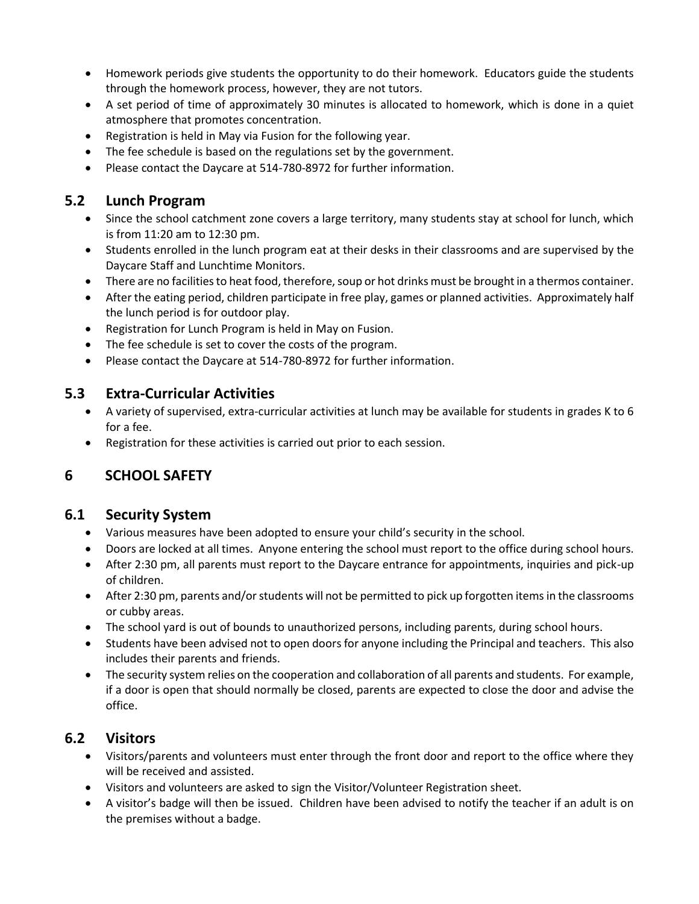- Homework periods give students the opportunity to do their homework. Educators guide the students through the homework process, however, they are not tutors.
- A set period of time of approximately 30 minutes is allocated to homework, which is done in a quiet atmosphere that promotes concentration.
- Registration is held in May via Fusion for the following year.
- The fee schedule is based on the regulations set by the government.
- Please contact the Daycare at 514-780-8972 for further information.

## **5.2 Lunch Program**

- Since the school catchment zone covers a large territory, many students stay at school for lunch, which is from 11:20 am to 12:30 pm.
- Students enrolled in the lunch program eat at their desks in their classrooms and are supervised by the Daycare Staff and Lunchtime Monitors.
- There are no facilities to heat food, therefore, soup or hot drinks must be brought in a thermos container.
- After the eating period, children participate in free play, games or planned activities. Approximately half the lunch period is for outdoor play.
- Registration for Lunch Program is held in May on Fusion.
- The fee schedule is set to cover the costs of the program.
- Please contact the Daycare at 514-780-8972 for further information.

## **5.3 Extra-Curricular Activities**

- A variety of supervised, extra-curricular activities at lunch may be available for students in grades K to 6 for a fee.
- Registration for these activities is carried out prior to each session.

# **6 SCHOOL SAFETY**

### **6.1 Security System**

- Various measures have been adopted to ensure your child's security in the school.
- Doors are locked at all times. Anyone entering the school must report to the office during school hours.
- After 2:30 pm, all parents must report to the Daycare entrance for appointments, inquiries and pick-up of children.
- After 2:30 pm, parents and/or students will not be permitted to pick up forgotten items in the classrooms or cubby areas.
- The school yard is out of bounds to unauthorized persons, including parents, during school hours.
- Students have been advised not to open doors for anyone including the Principal and teachers. This also includes their parents and friends.
- The security system relies on the cooperation and collaboration of all parents and students. For example, if a door is open that should normally be closed, parents are expected to close the door and advise the office.

### **6.2 Visitors**

- Visitors/parents and volunteers must enter through the front door and report to the office where they will be received and assisted.
- Visitors and volunteers are asked to sign the Visitor/Volunteer Registration sheet.
- A visitor's badge will then be issued. Children have been advised to notify the teacher if an adult is on the premises without a badge.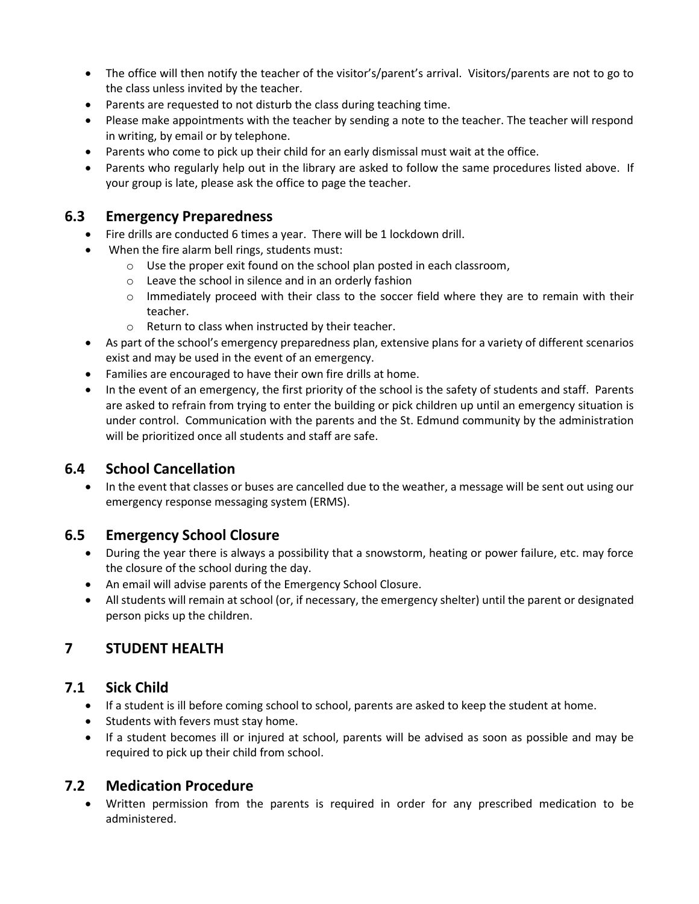- The office will then notify the teacher of the visitor's/parent's arrival. Visitors/parents are not to go to the class unless invited by the teacher.
- Parents are requested to not disturb the class during teaching time.
- Please make appointments with the teacher by sending a note to the teacher. The teacher will respond in writing, by email or by telephone.
- Parents who come to pick up their child for an early dismissal must wait at the office.
- Parents who regularly help out in the library are asked to follow the same procedures listed above. If your group is late, please ask the office to page the teacher.

## **6.3 Emergency Preparedness**

- Fire drills are conducted 6 times a year. There will be 1 lockdown drill.
- When the fire alarm bell rings, students must:
	- o Use the proper exit found on the school plan posted in each classroom,
	- o Leave the school in silence and in an orderly fashion
	- $\circ$  Immediately proceed with their class to the soccer field where they are to remain with their teacher.
	- o Return to class when instructed by their teacher.
- As part of the school's emergency preparedness plan, extensive plans for a variety of different scenarios exist and may be used in the event of an emergency.
- Families are encouraged to have their own fire drills at home.
- In the event of an emergency, the first priority of the school is the safety of students and staff. Parents are asked to refrain from trying to enter the building or pick children up until an emergency situation is under control. Communication with the parents and the St. Edmund community by the administration will be prioritized once all students and staff are safe.

### **6.4 School Cancellation**

• In the event that classes or buses are cancelled due to the weather, a message will be sent out using our emergency response messaging system (ERMS).

### **6.5 Emergency School Closure**

- During the year there is always a possibility that a snowstorm, heating or power failure, etc. may force the closure of the school during the day.
- An email will advise parents of the Emergency School Closure.
- All students will remain at school (or, if necessary, the emergency shelter) until the parent or designated person picks up the children.

# **7 STUDENT HEALTH**

# **7.1 Sick Child**

- If a student is ill before coming school to school, parents are asked to keep the student at home.
- Students with fevers must stay home.
- If a student becomes ill or injured at school, parents will be advised as soon as possible and may be required to pick up their child from school.

### **7.2 Medication Procedure**

• Written permission from the parents is required in order for any prescribed medication to be administered.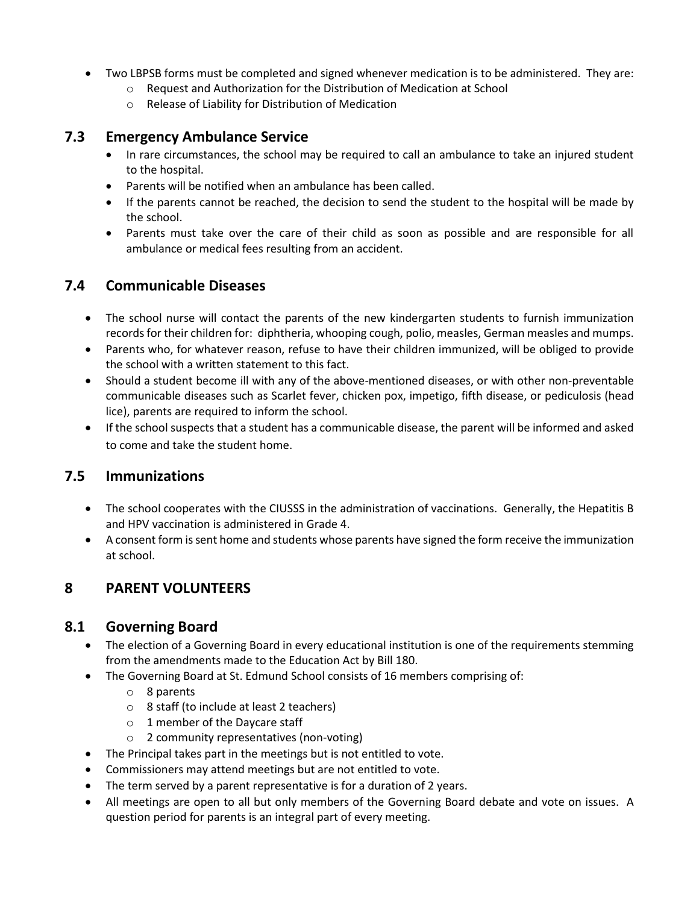- Two LBPSB forms must be completed and signed whenever medication is to be administered. They are:
	- o Request and Authorization for the Distribution of Medication at School
	- o Release of Liability for Distribution of Medication

### **7.3 Emergency Ambulance Service**

- In rare circumstances, the school may be required to call an ambulance to take an injured student to the hospital.
- Parents will be notified when an ambulance has been called.
- If the parents cannot be reached, the decision to send the student to the hospital will be made by the school.
- Parents must take over the care of their child as soon as possible and are responsible for all ambulance or medical fees resulting from an accident.

### **7.4 Communicable Diseases**

- The school nurse will contact the parents of the new kindergarten students to furnish immunization records for their children for: diphtheria, whooping cough, polio, measles, German measles and mumps.
- Parents who, for whatever reason, refuse to have their children immunized, will be obliged to provide the school with a written statement to this fact.
- Should a student become ill with any of the above-mentioned diseases, or with other non-preventable communicable diseases such as Scarlet fever, chicken pox, impetigo, fifth disease, or pediculosis (head lice), parents are required to inform the school.
- If the school suspects that a student has a communicable disease, the parent will be informed and asked to come and take the student home.

### **7.5 Immunizations**

- The school cooperates with the CIUSSS in the administration of vaccinations. Generally, the Hepatitis B and HPV vaccination is administered in Grade 4.
- A consent form is sent home and students whose parents have signed the form receive the immunization at school.

# **8 PARENT VOLUNTEERS**

### **8.1 Governing Board**

- The election of a Governing Board in every educational institution is one of the requirements stemming from the amendments made to the Education Act by Bill 180.
- The Governing Board at St. Edmund School consists of 16 members comprising of:
	- o 8 parents
	- o 8 staff (to include at least 2 teachers)
	- o 1 member of the Daycare staff
	- o 2 community representatives (non-voting)
- The Principal takes part in the meetings but is not entitled to vote.
- Commissioners may attend meetings but are not entitled to vote.
- The term served by a parent representative is for a duration of 2 years.
- All meetings are open to all but only members of the Governing Board debate and vote on issues. A question period for parents is an integral part of every meeting.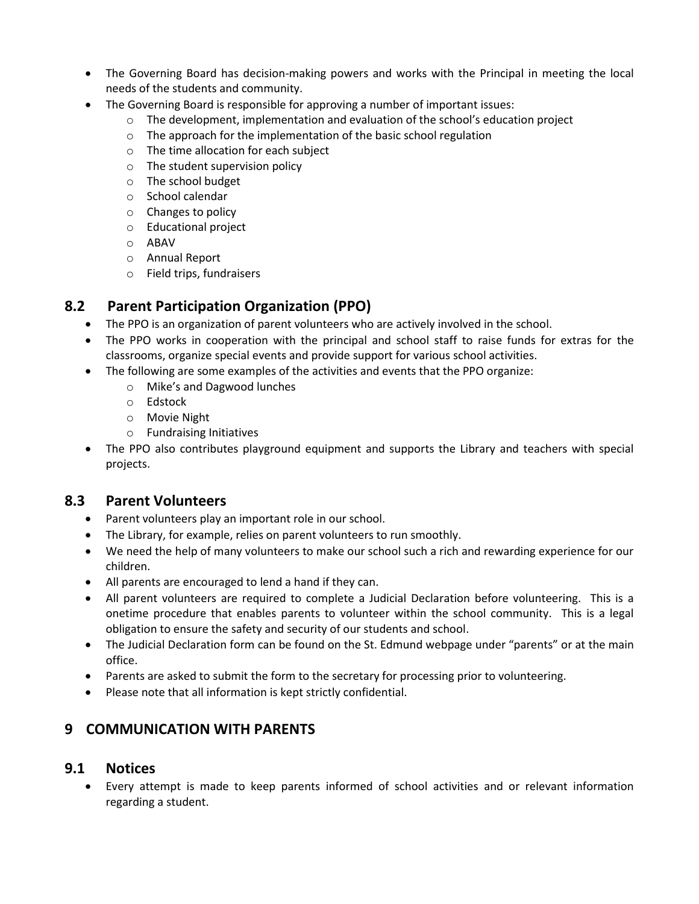- The Governing Board has decision-making powers and works with the Principal in meeting the local needs of the students and community.
- The Governing Board is responsible for approving a number of important issues:
	- $\circ$  The development, implementation and evaluation of the school's education project
	- o The approach for the implementation of the basic school regulation
	- o The time allocation for each subject
	- o The student supervision policy
	- o The school budget
	- o School calendar
	- o Changes to policy
	- o Educational project
	- o ABAV
	- o Annual Report
	- o Field trips, fundraisers

# **8.2 Parent Participation Organization (PPO)**

- The PPO is an organization of parent volunteers who are actively involved in the school.
- The PPO works in cooperation with the principal and school staff to raise funds for extras for the classrooms, organize special events and provide support for various school activities.
- The following are some examples of the activities and events that the PPO organize:
	- o Mike's and Dagwood lunches
	- o Edstock
	- o Movie Night
	- o Fundraising Initiatives
- The PPO also contributes playground equipment and supports the Library and teachers with special projects.

### **8.3 Parent Volunteers**

- Parent volunteers play an important role in our school.
- The Library, for example, relies on parent volunteers to run smoothly.
- We need the help of many volunteers to make our school such a rich and rewarding experience for our children.
- All parents are encouraged to lend a hand if they can.
- All parent volunteers are required to complete a Judicial Declaration before volunteering. This is a onetime procedure that enables parents to volunteer within the school community. This is a legal obligation to ensure the safety and security of our students and school.
- The Judicial Declaration form can be found on the St. Edmund webpage under "parents" or at the main office.
- Parents are asked to submit the form to the secretary for processing prior to volunteering.
- Please note that all information is kept strictly confidential.

# **9 COMMUNICATION WITH PARENTS**

### **9.1 Notices**

• Every attempt is made to keep parents informed of school activities and or relevant information regarding a student.